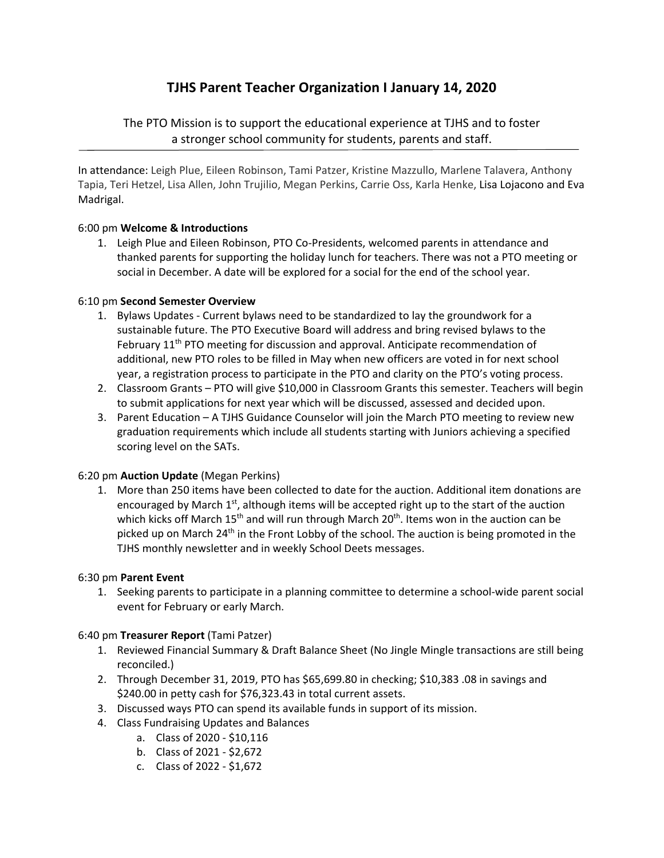# **TJHS Parent Teacher Organization I January 14, 2020**

# The PTO Mission is to support the educational experience at TJHS and to foster a stronger school community for students, parents and staff.

In attendance: Leigh Plue, Eileen Robinson, Tami Patzer, Kristine Mazzullo, Marlene Talavera, Anthony Tapia, Teri Hetzel, Lisa Allen, John Trujilio, Megan Perkins, Carrie Oss, Karla Henke, Lisa Lojacono and Eva Madrigal.

# 6:00 pm **Welcome & Introductions**

1. Leigh Plue and Eileen Robinson, PTO Co‐Presidents, welcomed parents in attendance and thanked parents for supporting the holiday lunch for teachers. There was not a PTO meeting or social in December. A date will be explored for a social for the end of the school year.

### 6:10 pm **Second Semester Overview**

- 1. Bylaws Updates ‐ Current bylaws need to be standardized to lay the groundwork for a sustainable future. The PTO Executive Board will address and bring revised bylaws to the February 11<sup>th</sup> PTO meeting for discussion and approval. Anticipate recommendation of additional, new PTO roles to be filled in May when new officers are voted in for next school year, a registration process to participate in the PTO and clarity on the PTO's voting process.
- 2. Classroom Grants PTO will give \$10,000 in Classroom Grants this semester. Teachers will begin to submit applications for next year which will be discussed, assessed and decided upon.
- 3. Parent Education A TJHS Guidance Counselor will join the March PTO meeting to review new graduation requirements which include all students starting with Juniors achieving a specified scoring level on the SATs.

#### 6:20 pm **Auction Update** (Megan Perkins)

1. More than 250 items have been collected to date for the auction. Additional item donations are encouraged by March  $1<sup>st</sup>$ , although items will be accepted right up to the start of the auction which kicks off March  $15<sup>th</sup>$  and will run through March  $20<sup>th</sup>$ . Items won in the auction can be picked up on March 24<sup>th</sup> in the Front Lobby of the school. The auction is being promoted in the TJHS monthly newsletter and in weekly School Deets messages.

#### 6:30 pm **Parent Event**

1. Seeking parents to participate in a planning committee to determine a school‐wide parent social event for February or early March.

#### 6:40 pm **Treasurer Report** (Tami Patzer)

- 1. Reviewed Financial Summary & Draft Balance Sheet (No Jingle Mingle transactions are still being reconciled.)
- 2. Through December 31, 2019, PTO has \$65,699.80 in checking; \$10,383 .08 in savings and \$240.00 in petty cash for \$76,323.43 in total current assets.
- 3. Discussed ways PTO can spend its available funds in support of its mission.
- 4. Class Fundraising Updates and Balances
	- a. Class of 2020 ‐ \$10,116
	- b. Class of 2021 ‐ \$2,672
	- c. Class of 2022 ‐ \$1,672